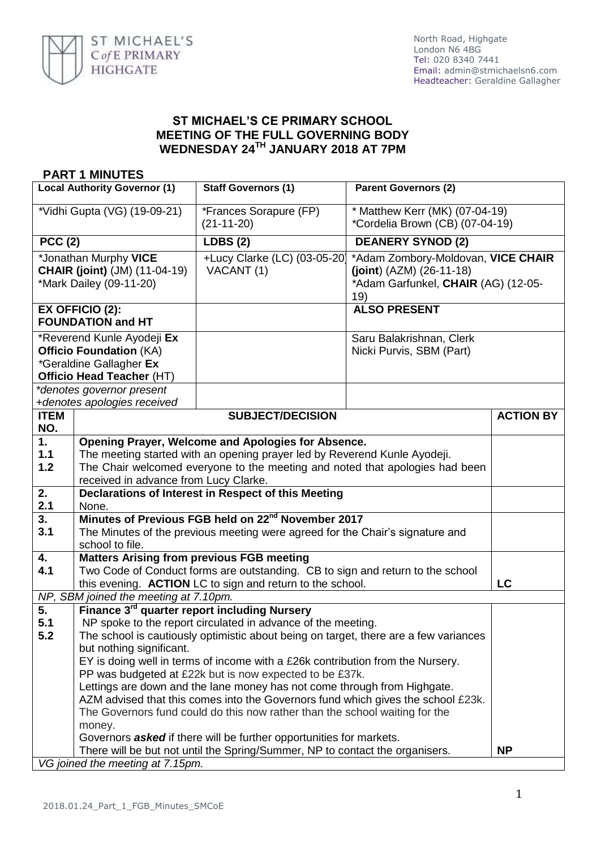

## **ST MICHAEL'S CE PRIMARY SCHOOL MEETING OF THE FULL GOVERNING BODY WEDNESDAY 24TH JANUARY 2018 AT 7PM**

## **PART 1 MINUTES**

| <b>Local Authority Governor (1)</b>                                                                                         |                                                                                                                                                                                                                                                                                                                                                                                                                                                                                                                                                                                                                                                                                                                                  | <b>Staff Governors (1)</b>                                                                                                                                                                                      | <b>Parent Governors (2)</b>                                                                                    |                  |
|-----------------------------------------------------------------------------------------------------------------------------|----------------------------------------------------------------------------------------------------------------------------------------------------------------------------------------------------------------------------------------------------------------------------------------------------------------------------------------------------------------------------------------------------------------------------------------------------------------------------------------------------------------------------------------------------------------------------------------------------------------------------------------------------------------------------------------------------------------------------------|-----------------------------------------------------------------------------------------------------------------------------------------------------------------------------------------------------------------|----------------------------------------------------------------------------------------------------------------|------------------|
| *Vidhi Gupta (VG) (19-09-21)                                                                                                |                                                                                                                                                                                                                                                                                                                                                                                                                                                                                                                                                                                                                                                                                                                                  | *Frances Sorapure (FP)<br>$(21-11-20)$                                                                                                                                                                          | * Matthew Kerr (MK) (07-04-19)<br>*Cordelia Brown (CB) (07-04-19)                                              |                  |
| <b>PCC (2)</b>                                                                                                              |                                                                                                                                                                                                                                                                                                                                                                                                                                                                                                                                                                                                                                                                                                                                  | <b>LDBS (2)</b>                                                                                                                                                                                                 | <b>DEANERY SYNOD (2)</b>                                                                                       |                  |
| *Jonathan Murphy VICE<br><b>CHAIR (joint)</b> (JM) (11-04-19)<br>*Mark Dailey (09-11-20)                                    |                                                                                                                                                                                                                                                                                                                                                                                                                                                                                                                                                                                                                                                                                                                                  | +Lucy Clarke (LC) (03-05-20)<br>VACANT (1)                                                                                                                                                                      | *Adam Zombory-Moldovan, VICE CHAIR<br>$(joint) (AZM) (26-11-18)$<br>*Adam Garfunkel, CHAIR (AG) (12-05-<br>19) |                  |
|                                                                                                                             | <b>EX OFFICIO (2):</b><br><b>FOUNDATION and HT</b>                                                                                                                                                                                                                                                                                                                                                                                                                                                                                                                                                                                                                                                                               |                                                                                                                                                                                                                 | <b>ALSO PRESENT</b>                                                                                            |                  |
| *Reverend Kunle Ayodeji Ex<br><b>Officio Foundation (KA)</b><br><i>*Geraldine Gallagher Ex</i><br>Officio Head Teacher (HT) |                                                                                                                                                                                                                                                                                                                                                                                                                                                                                                                                                                                                                                                                                                                                  |                                                                                                                                                                                                                 | Saru Balakrishnan, Clerk<br>Nicki Purvis, SBM (Part)                                                           |                  |
|                                                                                                                             | *denotes governor present                                                                                                                                                                                                                                                                                                                                                                                                                                                                                                                                                                                                                                                                                                        |                                                                                                                                                                                                                 |                                                                                                                |                  |
| <b>ITEM</b>                                                                                                                 | +denotes apologies received                                                                                                                                                                                                                                                                                                                                                                                                                                                                                                                                                                                                                                                                                                      | <b>SUBJECT/DECISION</b>                                                                                                                                                                                         |                                                                                                                | <b>ACTION BY</b> |
| NO.                                                                                                                         |                                                                                                                                                                                                                                                                                                                                                                                                                                                                                                                                                                                                                                                                                                                                  |                                                                                                                                                                                                                 |                                                                                                                |                  |
| 1 <sub>1</sub><br>$1.1$<br>1.2                                                                                              | received in advance from Lucy Clarke.                                                                                                                                                                                                                                                                                                                                                                                                                                                                                                                                                                                                                                                                                            | Opening Prayer, Welcome and Apologies for Absence.<br>The meeting started with an opening prayer led by Reverend Kunle Ayodeji.<br>The Chair welcomed everyone to the meeting and noted that apologies had been |                                                                                                                |                  |
| 2.                                                                                                                          |                                                                                                                                                                                                                                                                                                                                                                                                                                                                                                                                                                                                                                                                                                                                  | Declarations of Interest in Respect of this Meeting                                                                                                                                                             |                                                                                                                |                  |
| 2.1<br>3.                                                                                                                   | None.                                                                                                                                                                                                                                                                                                                                                                                                                                                                                                                                                                                                                                                                                                                            | Minutes of Previous FGB held on 22 <sup>nd</sup> November 2017                                                                                                                                                  |                                                                                                                |                  |
| 3.1                                                                                                                         | The Minutes of the previous meeting were agreed for the Chair's signature and<br>school to file.                                                                                                                                                                                                                                                                                                                                                                                                                                                                                                                                                                                                                                 |                                                                                                                                                                                                                 |                                                                                                                |                  |
| 4.<br>4.1                                                                                                                   | <b>Matters Arising from previous FGB meeting</b><br>Two Code of Conduct forms are outstanding. CB to sign and return to the school<br>this evening. ACTION LC to sign and return to the school.                                                                                                                                                                                                                                                                                                                                                                                                                                                                                                                                  |                                                                                                                                                                                                                 | LC                                                                                                             |                  |
|                                                                                                                             | NP, SBM joined the meeting at 7.10pm.                                                                                                                                                                                                                                                                                                                                                                                                                                                                                                                                                                                                                                                                                            |                                                                                                                                                                                                                 |                                                                                                                |                  |
| 5.<br>5.1<br>5.2                                                                                                            | Finance 3 <sup>rd</sup> quarter report including Nursery<br>NP spoke to the report circulated in advance of the meeting.<br>The school is cautiously optimistic about being on target, there are a few variances<br>but nothing significant.<br>EY is doing well in terms of income with a £26k contribution from the Nursery.<br>PP was budgeted at £22k but is now expected to be £37k.<br>Lettings are down and the lane money has not come through from Highgate.<br>AZM advised that this comes into the Governors fund which gives the school £23k.<br>The Governors fund could do this now rather than the school waiting for the<br>money.<br>Governors <b>asked</b> if there will be further opportunities for markets. |                                                                                                                                                                                                                 |                                                                                                                |                  |
|                                                                                                                             | There will be but not until the Spring/Summer, NP to contact the organisers.<br><b>NP</b><br>VG joined the meeting at 7.15pm.                                                                                                                                                                                                                                                                                                                                                                                                                                                                                                                                                                                                    |                                                                                                                                                                                                                 |                                                                                                                |                  |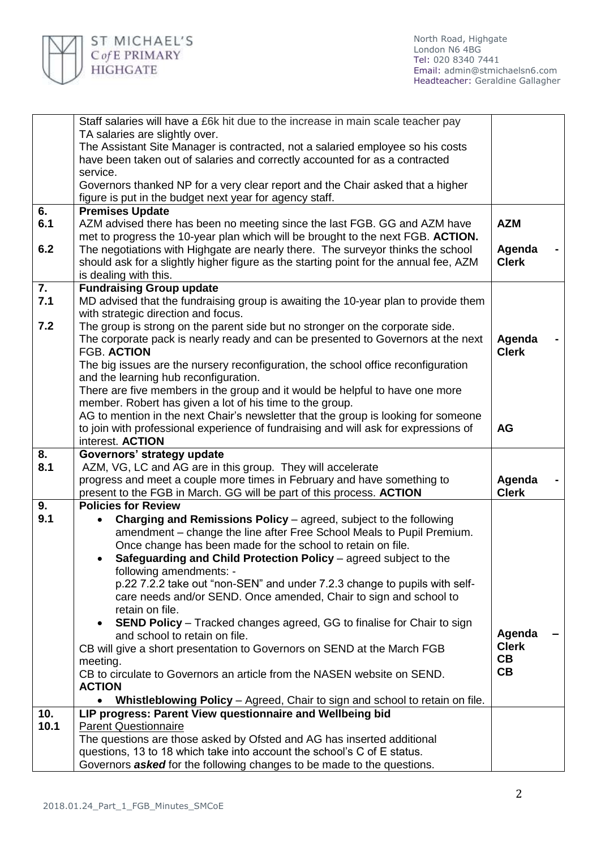

|      | Staff salaries will have a £6k hit due to the increase in main scale teacher pay                                                                  |                        |  |
|------|---------------------------------------------------------------------------------------------------------------------------------------------------|------------------------|--|
|      | TA salaries are slightly over.                                                                                                                    |                        |  |
|      | The Assistant Site Manager is contracted, not a salaried employee so his costs                                                                    |                        |  |
|      | have been taken out of salaries and correctly accounted for as a contracted                                                                       |                        |  |
|      | service.                                                                                                                                          |                        |  |
|      | Governors thanked NP for a very clear report and the Chair asked that a higher                                                                    |                        |  |
|      | figure is put in the budget next year for agency staff.                                                                                           |                        |  |
| 6.   | <b>Premises Update</b>                                                                                                                            |                        |  |
| 6.1  | AZM advised there has been no meeting since the last FGB. GG and AZM have                                                                         | <b>AZM</b>             |  |
|      | met to progress the 10-year plan which will be brought to the next FGB. ACTION.                                                                   |                        |  |
| 6.2  | The negotiations with Highgate are nearly there. The surveyor thinks the school                                                                   | Agenda                 |  |
|      | should ask for a slightly higher figure as the starting point for the annual fee, AZM                                                             | <b>Clerk</b>           |  |
|      | is dealing with this.                                                                                                                             |                        |  |
| 7.   | <b>Fundraising Group update</b>                                                                                                                   |                        |  |
| 7.1  | MD advised that the fundraising group is awaiting the 10-year plan to provide them                                                                |                        |  |
|      | with strategic direction and focus.                                                                                                               |                        |  |
| 7.2  | The group is strong on the parent side but no stronger on the corporate side.                                                                     |                        |  |
|      | The corporate pack is nearly ready and can be presented to Governors at the next                                                                  | Agenda                 |  |
|      | <b>FGB. ACTION</b>                                                                                                                                | <b>Clerk</b>           |  |
|      | The big issues are the nursery reconfiguration, the school office reconfiguration                                                                 |                        |  |
|      | and the learning hub reconfiguration.                                                                                                             |                        |  |
|      | There are five members in the group and it would be helpful to have one more                                                                      |                        |  |
|      | member. Robert has given a lot of his time to the group.                                                                                          |                        |  |
|      | AG to mention in the next Chair's newsletter that the group is looking for someone                                                                |                        |  |
|      | to join with professional experience of fundraising and will ask for expressions of                                                               | <b>AG</b>              |  |
|      | interest. ACTION                                                                                                                                  |                        |  |
|      |                                                                                                                                                   |                        |  |
| 8.   | Governors' strategy update                                                                                                                        |                        |  |
| 8.1  | AZM, VG, LC and AG are in this group. They will accelerate                                                                                        |                        |  |
|      | progress and meet a couple more times in February and have something to                                                                           | Agenda                 |  |
|      | present to the FGB in March. GG will be part of this process. ACTION                                                                              | <b>Clerk</b>           |  |
| 9.   | <b>Policies for Review</b>                                                                                                                        |                        |  |
| 9.1  | Charging and Remissions Policy – agreed, subject to the following                                                                                 |                        |  |
|      | amendment – change the line after Free School Meals to Pupil Premium.                                                                             |                        |  |
|      | Once change has been made for the school to retain on file.                                                                                       |                        |  |
|      | Safeguarding and Child Protection Policy - agreed subject to the<br>$\bullet$                                                                     |                        |  |
|      | following amendments: -                                                                                                                           |                        |  |
|      | p.22 7.2.2 take out "non-SEN" and under 7.2.3 change to pupils with self-                                                                         |                        |  |
|      | care needs and/or SEND. Once amended, Chair to sign and school to                                                                                 |                        |  |
|      | retain on file.                                                                                                                                   |                        |  |
|      | <b>SEND Policy</b> – Tracked changes agreed, GG to finalise for Chair to sign<br>$\bullet$                                                        |                        |  |
|      | and school to retain on file.                                                                                                                     | Agenda<br><b>Clerk</b> |  |
|      | CB will give a short presentation to Governors on SEND at the March FGB                                                                           | CB                     |  |
|      | meeting.<br>CB to circulate to Governors an article from the NASEN website on SEND.                                                               | CB                     |  |
|      | <b>ACTION</b>                                                                                                                                     |                        |  |
|      | $\bullet$                                                                                                                                         |                        |  |
| 10.  | Whistleblowing Policy - Agreed, Chair to sign and school to retain on file.                                                                       |                        |  |
| 10.1 | LIP progress: Parent View questionnaire and Wellbeing bid<br><b>Parent Questionnaire</b>                                                          |                        |  |
|      |                                                                                                                                                   |                        |  |
|      | The questions are those asked by Ofsted and AG has inserted additional<br>questions, 13 to 18 which take into account the school's C of E status. |                        |  |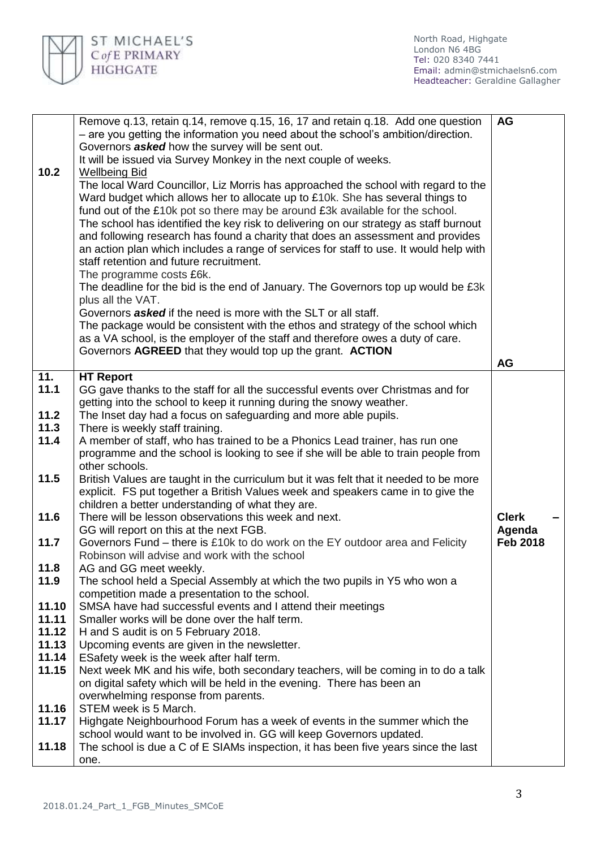

|       | Remove q.13, retain q.14, remove q.15, 16, 17 and retain q.18. Add one question                       | <b>AG</b>       |  |
|-------|-------------------------------------------------------------------------------------------------------|-----------------|--|
|       | - are you getting the information you need about the school's ambition/direction.                     |                 |  |
|       | Governors <b>asked</b> how the survey will be sent out.                                               |                 |  |
|       | It will be issued via Survey Monkey in the next couple of weeks.                                      |                 |  |
| 10.2  | <b>Wellbeing Bid</b>                                                                                  |                 |  |
|       | The local Ward Councillor, Liz Morris has approached the school with regard to the                    |                 |  |
|       | Ward budget which allows her to allocate up to £10k. She has several things to                        |                 |  |
|       | fund out of the £10k pot so there may be around £3k available for the school.                         |                 |  |
|       | The school has identified the key risk to delivering on our strategy as staff burnout                 |                 |  |
|       | and following research has found a charity that does an assessment and provides                       |                 |  |
|       | an action plan which includes a range of services for staff to use. It would help with                |                 |  |
|       | staff retention and future recruitment.                                                               |                 |  |
|       | The programme costs £6k.                                                                              |                 |  |
|       | The deadline for the bid is the end of January. The Governors top up would be £3k                     |                 |  |
|       | plus all the VAT.                                                                                     |                 |  |
|       | Governors <b>asked</b> if the need is more with the SLT or all staff.                                 |                 |  |
|       | The package would be consistent with the ethos and strategy of the school which                       |                 |  |
|       | as a VA school, is the employer of the staff and therefore owes a duty of care.                       |                 |  |
|       | Governors AGREED that they would top up the grant. ACTION                                             |                 |  |
|       |                                                                                                       | <b>AG</b>       |  |
| 11.   | <b>HT Report</b>                                                                                      |                 |  |
| 11.1  | GG gave thanks to the staff for all the successful events over Christmas and for                      |                 |  |
|       | getting into the school to keep it running during the snowy weather.                                  |                 |  |
| 11.2  | The Inset day had a focus on safeguarding and more able pupils.                                       |                 |  |
| 11.3  | There is weekly staff training.                                                                       |                 |  |
| 11.4  | A member of staff, who has trained to be a Phonics Lead trainer, has run one                          |                 |  |
|       |                                                                                                       |                 |  |
|       | programme and the school is looking to see if she will be able to train people from<br>other schools. |                 |  |
|       |                                                                                                       |                 |  |
| 11.5  | British Values are taught in the curriculum but it was felt that it needed to be more                 |                 |  |
|       | explicit. FS put together a British Values week and speakers came in to give the                      |                 |  |
|       | children a better understanding of what they are.                                                     |                 |  |
| 11.6  | There will be lesson observations this week and next.                                                 | <b>Clerk</b>    |  |
|       | GG will report on this at the next FGB.                                                               | Agenda          |  |
| 11.7  | Governors Fund – there is £10k to do work on the EY outdoor area and Felicity                         | <b>Feb 2018</b> |  |
|       | Robinson will advise and work with the school                                                         |                 |  |
| 11.8  | AG and GG meet weekly.                                                                                |                 |  |
| 11.9  | The school held a Special Assembly at which the two pupils in Y5 who won a                            |                 |  |
|       | competition made a presentation to the school.                                                        |                 |  |
| 11.10 | SMSA have had successful events and I attend their meetings                                           |                 |  |
| 11.11 | Smaller works will be done over the half term.                                                        |                 |  |
| 11.12 | H and S audit is on 5 February 2018.                                                                  |                 |  |
| 11.13 | Upcoming events are given in the newsletter.                                                          |                 |  |
| 11.14 | ESafety week is the week after half term.                                                             |                 |  |
| 11.15 | Next week MK and his wife, both secondary teachers, will be coming in to do a talk                    |                 |  |
|       | on digital safety which will be held in the evening. There has been an                                |                 |  |
|       | overwhelming response from parents.                                                                   |                 |  |
| 11.16 | STEM week is 5 March.                                                                                 |                 |  |
| 11.17 | Highgate Neighbourhood Forum has a week of events in the summer which the                             |                 |  |
|       | school would want to be involved in. GG will keep Governors updated.                                  |                 |  |
| 11.18 | The school is due a C of E SIAMs inspection, it has been five years since the last                    |                 |  |
|       | one.                                                                                                  |                 |  |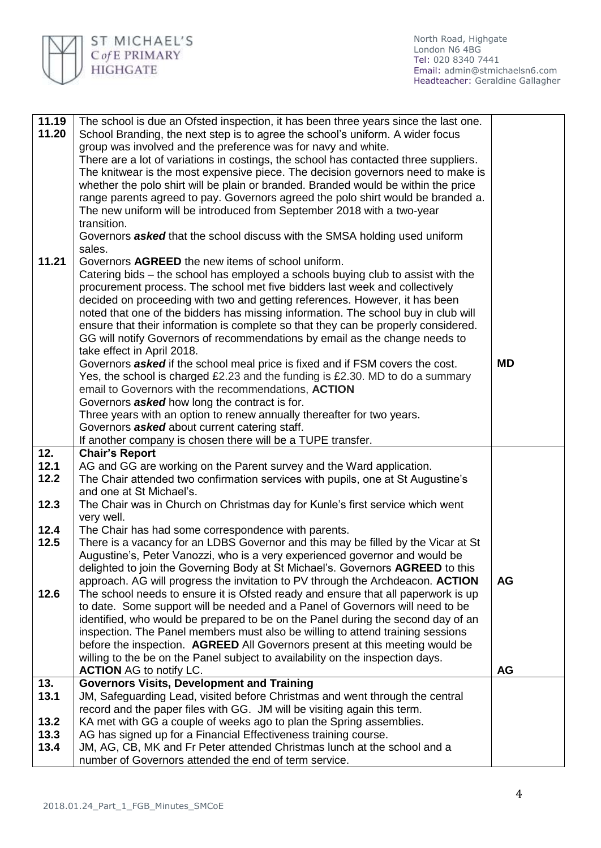

North Road, Highgate London N6 4BG Tel: 020 8340 7441 Email: [admin@stmichaelsn6.com](mailto:admin@stmichaelsn6.com) Headteacher: Geraldine Gallagher

| 11.19 | The school is due an Ofsted inspection, it has been three years since the last one.  |           |
|-------|--------------------------------------------------------------------------------------|-----------|
| 11.20 | School Branding, the next step is to agree the school's uniform. A wider focus       |           |
|       | group was involved and the preference was for navy and white.                        |           |
|       | There are a lot of variations in costings, the school has contacted three suppliers. |           |
|       | The knitwear is the most expensive piece. The decision governors need to make is     |           |
|       | whether the polo shirt will be plain or branded. Branded would be within the price   |           |
|       | range parents agreed to pay. Governors agreed the polo shirt would be branded a.     |           |
|       | The new uniform will be introduced from September 2018 with a two-year               |           |
|       | transition.                                                                          |           |
|       | Governors <b>asked</b> that the school discuss with the SMSA holding used uniform    |           |
|       | sales.                                                                               |           |
| 11.21 | Governors AGREED the new items of school uniform.                                    |           |
|       | Catering bids – the school has employed a schools buying club to assist with the     |           |
|       | procurement process. The school met five bidders last week and collectively          |           |
|       | decided on proceeding with two and getting references. However, it has been          |           |
|       | noted that one of the bidders has missing information. The school buy in club will   |           |
|       | ensure that their information is complete so that they can be properly considered.   |           |
|       | GG will notify Governors of recommendations by email as the change needs to          |           |
|       | take effect in April 2018.                                                           |           |
|       | Governors <b>asked</b> if the school meal price is fixed and if FSM covers the cost. | <b>MD</b> |
|       | Yes, the school is charged £2.23 and the funding is £2.30. MD to do a summary        |           |
|       | email to Governors with the recommendations, ACTION                                  |           |
|       | Governors <b>asked</b> how long the contract is for.                                 |           |
|       | Three years with an option to renew annually thereafter for two years.               |           |
|       | Governors <b>asked</b> about current catering staff.                                 |           |
|       | If another company is chosen there will be a TUPE transfer.                          |           |
| 12.   | <b>Chair's Report</b>                                                                |           |
| 12.1  | AG and GG are working on the Parent survey and the Ward application.                 |           |
| 12.2  | The Chair attended two confirmation services with pupils, one at St Augustine's      |           |
|       | and one at St Michael's.                                                             |           |
| 12.3  | The Chair was in Church on Christmas day for Kunle's first service which went        |           |
|       | very well.                                                                           |           |
| 12.4  | The Chair has had some correspondence with parents.                                  |           |
| 12.5  | There is a vacancy for an LDBS Governor and this may be filled by the Vicar at St    |           |
|       | Augustine's, Peter Vanozzi, who is a very experienced governor and would be          |           |
|       | delighted to join the Governing Body at St Michael's. Governors AGREED to this       |           |
|       | approach. AG will progress the invitation to PV through the Archdeacon. ACTION       | <b>AG</b> |
| 12.6  | The school needs to ensure it is Ofsted ready and ensure that all paperwork is up    |           |
|       | to date. Some support will be needed and a Panel of Governors will need to be        |           |
|       | identified, who would be prepared to be on the Panel during the second day of an     |           |
|       | inspection. The Panel members must also be willing to attend training sessions       |           |
|       | before the inspection. AGREED All Governors present at this meeting would be         |           |
|       | willing to the be on the Panel subject to availability on the inspection days.       |           |
|       | <b>ACTION</b> AG to notify LC.                                                       | <b>AG</b> |
| 13.   | <b>Governors Visits, Development and Training</b>                                    |           |
| 13.1  | JM, Safeguarding Lead, visited before Christmas and went through the central         |           |
|       | record and the paper files with GG. JM will be visiting again this term.             |           |
| 13.2  | KA met with GG a couple of weeks ago to plan the Spring assemblies.                  |           |
| 13.3  | AG has signed up for a Financial Effectiveness training course.                      |           |
| 13.4  | JM, AG, CB, MK and Fr Peter attended Christmas lunch at the school and a             |           |
|       | number of Governors attended the end of term service.                                |           |